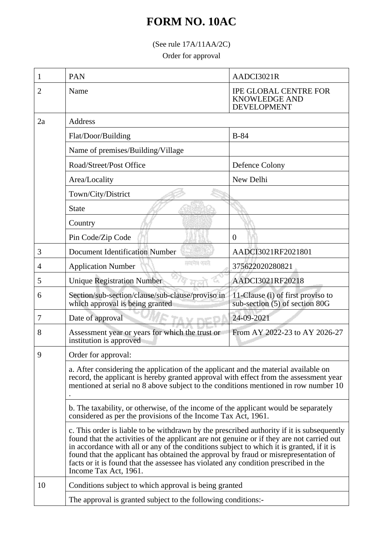## **FORM NO. 10AC**

(See rule 17A/11AA/2C)

Order for approval

| 1  | PAN                                                                                                                                                                                                                                                                                                                                                                                                                                                                                       | AADCI3021R                                                                 |
|----|-------------------------------------------------------------------------------------------------------------------------------------------------------------------------------------------------------------------------------------------------------------------------------------------------------------------------------------------------------------------------------------------------------------------------------------------------------------------------------------------|----------------------------------------------------------------------------|
| 2  | Name                                                                                                                                                                                                                                                                                                                                                                                                                                                                                      | <b>IPE GLOBAL CENTRE FOR</b><br><b>KNOWLEDGE AND</b><br><b>DEVELOPMENT</b> |
| 2a | Address                                                                                                                                                                                                                                                                                                                                                                                                                                                                                   |                                                                            |
|    | Flat/Door/Building                                                                                                                                                                                                                                                                                                                                                                                                                                                                        | $B-84$                                                                     |
|    | Name of premises/Building/Village                                                                                                                                                                                                                                                                                                                                                                                                                                                         |                                                                            |
|    | Road/Street/Post Office                                                                                                                                                                                                                                                                                                                                                                                                                                                                   | Defence Colony                                                             |
|    | Area/Locality                                                                                                                                                                                                                                                                                                                                                                                                                                                                             | New Delhi                                                                  |
|    | Town/City/District                                                                                                                                                                                                                                                                                                                                                                                                                                                                        |                                                                            |
|    | <b>State</b>                                                                                                                                                                                                                                                                                                                                                                                                                                                                              |                                                                            |
|    | Country                                                                                                                                                                                                                                                                                                                                                                                                                                                                                   |                                                                            |
|    | Pin Code/Zip Code                                                                                                                                                                                                                                                                                                                                                                                                                                                                         | $\theta$                                                                   |
| 3  | <b>Document Identification Number</b>                                                                                                                                                                                                                                                                                                                                                                                                                                                     | AADCI3021RF2021801                                                         |
| 4  | सम्बद्धान्त्र अस्पति<br><b>Application Number</b>                                                                                                                                                                                                                                                                                                                                                                                                                                         | 375622020280821                                                            |
| 5  | <b>Unique Registration Number</b>                                                                                                                                                                                                                                                                                                                                                                                                                                                         | AADCI3021RF20218                                                           |
| 6  | Section/sub-section/clause/sub-clause/proviso in<br>which approval is being granted                                                                                                                                                                                                                                                                                                                                                                                                       | 11-Clause (i) of first proviso to<br>sub-section (5) of section 80G        |
| 7  | Date of approval                                                                                                                                                                                                                                                                                                                                                                                                                                                                          | 24-09-2021                                                                 |
| 8  | Assessment year or years for which the trust or<br>institution is approved                                                                                                                                                                                                                                                                                                                                                                                                                | From AY 2022-23 to AY 2026-27                                              |
| Q  | Order for approval:                                                                                                                                                                                                                                                                                                                                                                                                                                                                       |                                                                            |
|    | a. After considering the application of the applicant and the material available on<br>record, the applicant is hereby granted approval with effect from the assessment year<br>mentioned at serial no 8 above subject to the conditions mentioned in row number 10                                                                                                                                                                                                                       |                                                                            |
|    | b. The taxability, or otherwise, of the income of the applicant would be separately<br>considered as per the provisions of the Income Tax Act, 1961.                                                                                                                                                                                                                                                                                                                                      |                                                                            |
|    | c. This order is liable to be withdrawn by the prescribed authority if it is subsequently<br>found that the activities of the applicant are not genuine or if they are not carried out<br>in accordance with all or any of the conditions subject to which it is granted, if it is<br>found that the applicant has obtained the approval by fraud or misrepresentation of<br>facts or it is found that the assessee has violated any condition prescribed in the<br>Income Tax Act, 1961. |                                                                            |
| 10 | Conditions subject to which approval is being granted                                                                                                                                                                                                                                                                                                                                                                                                                                     |                                                                            |
|    | The approval is granted subject to the following conditions:                                                                                                                                                                                                                                                                                                                                                                                                                              |                                                                            |